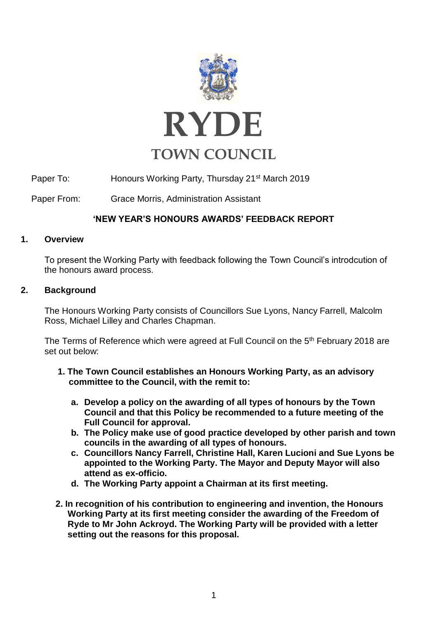

Paper To: Honours Working Party, Thursday 21<sup>st</sup> March 2019

Paper From: Grace Morris, Administration Assistant

# **'NEW YEAR'S HONOURS AWARDS' FEEDBACK REPORT**

# **1. Overview**

To present the Working Party with feedback following the Town Council's introdcution of the honours award process.

# **2. Background**

The Honours Working Party consists of Councillors Sue Lyons, Nancy Farrell, Malcolm Ross, Michael Lilley and Charles Chapman.

The Terms of Reference which were agreed at Full Council on the 5<sup>th</sup> February 2018 are set out below:

- **1. The Town Council establishes an Honours Working Party, as an advisory committee to the Council, with the remit to:** 
	- **a. Develop a policy on the awarding of all types of honours by the Town Council and that this Policy be recommended to a future meeting of the Full Council for approval.**
	- **b. The Policy make use of good practice developed by other parish and town councils in the awarding of all types of honours.**
	- **c. Councillors Nancy Farrell, Christine Hall, Karen Lucioni and Sue Lyons be appointed to the Working Party. The Mayor and Deputy Mayor will also attend as ex-officio.**
	- **d. The Working Party appoint a Chairman at its first meeting.**
- **2. In recognition of his contribution to engineering and invention, the Honours Working Party at its first meeting consider the awarding of the Freedom of Ryde to Mr John Ackroyd. The Working Party will be provided with a letter setting out the reasons for this proposal.**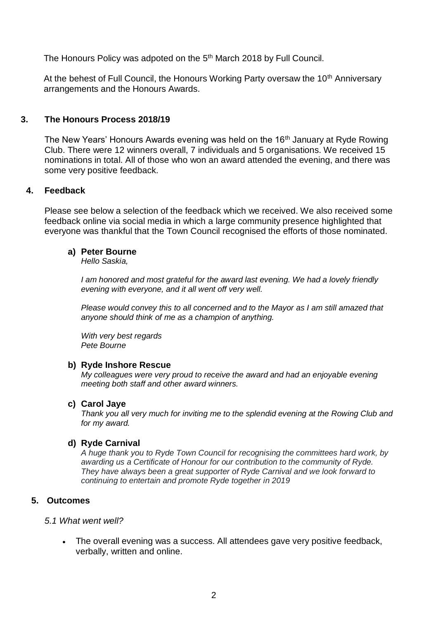The Honours Policy was adpoted on the 5<sup>th</sup> March 2018 by Full Council.

At the behest of Full Council, the Honours Working Party oversaw the 10<sup>th</sup> Anniversary arrangements and the Honours Awards.

# **3. The Honours Process 2018/19**

The New Years' Honours Awards evening was held on the 16<sup>th</sup> January at Ryde Rowing Club. There were 12 winners overall, 7 individuals and 5 organisations. We received 15 nominations in total. All of those who won an award attended the evening, and there was some very positive feedback.

### **4. Feedback**

Please see below a selection of the feedback which we received. We also received some feedback online via social media in which a large community presence highlighted that everyone was thankful that the Town Council recognised the efforts of those nominated.

# **a) Peter Bourne**

*Hello Saskia,*

*I am honored and most grateful for the award last evening. We had a lovely friendly evening with everyone, and it all went off very well.*

*Please would convey this to all concerned and to the Mayor as I am still amazed that anyone should think of me as a champion of anything.*

*With very best regards Pete Bourne*

#### **b) Ryde Inshore Rescue**

*My colleagues were very proud to receive the award and had an enjoyable evening meeting both staff and other award winners.*

#### **c) Carol Jaye**

*Thank you all very much for inviting me to the splendid evening at the Rowing Club and for my award.*

# **d) Ryde Carnival**

*A huge thank you to Ryde Town Council for recognising the committees hard work, by awarding us a Certificate of Honour for our contribution to the community of Ryde. They have always been a great supporter of Ryde Carnival and we look forward to continuing to entertain and promote Ryde together in 2019*

# **5. Outcomes**

#### *5.1 What went well?*

• The overall evening was a success. All attendees gave very positive feedback, verbally, written and online.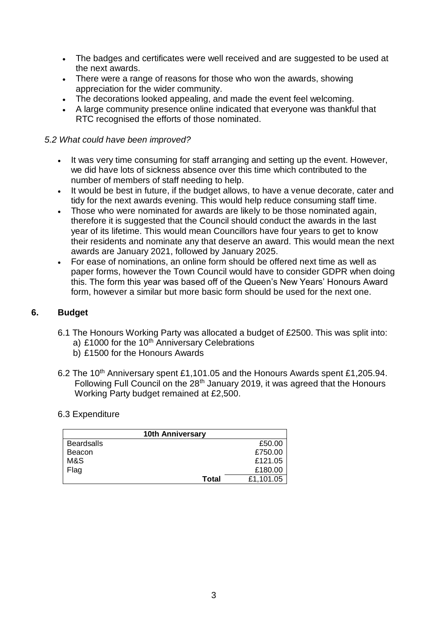- The badges and certificates were well received and are suggested to be used at the next awards.
- There were a range of reasons for those who won the awards, showing appreciation for the wider community.
- The decorations looked appealing, and made the event feel welcoming.
- A large community presence online indicated that everyone was thankful that RTC recognised the efforts of those nominated.

# *5.2 What could have been improved?*

- It was very time consuming for staff arranging and setting up the event. However, we did have lots of sickness absence over this time which contributed to the number of members of staff needing to help.
- It would be best in future, if the budget allows, to have a venue decorate, cater and tidy for the next awards evening. This would help reduce consuming staff time.
- Those who were nominated for awards are likely to be those nominated again, therefore it is suggested that the Council should conduct the awards in the last year of its lifetime. This would mean Councillors have four years to get to know their residents and nominate any that deserve an award. This would mean the next awards are January 2021, followed by January 2025.
- For ease of nominations, an online form should be offered next time as well as paper forms, however the Town Council would have to consider GDPR when doing this. The form this year was based off of the Queen's New Years' Honours Award form, however a similar but more basic form should be used for the next one.

# **6. Budget**

- 6.1 The Honours Working Party was allocated a budget of £2500. This was split into: a) £1000 for the 10<sup>th</sup> Anniversary Celebrations
	- b) £1500 for the Honours Awards
- 6.2 The 10<sup>th</sup> Anniversary spent £1,101.05 and the Honours Awards spent £1,205.94. Following Full Council on the 28<sup>th</sup> January 2019, it was agreed that the Honours Working Party budget remained at £2,500.

#### 6.3 Expenditure

| <b>10th Anniversary</b> |       |           |  |  |
|-------------------------|-------|-----------|--|--|
| <b>Beardsalls</b>       |       | £50.00    |  |  |
| Beacon                  |       | £750.00   |  |  |
| M&S                     |       | £121.05   |  |  |
| Flag                    |       | £180.00   |  |  |
|                         | Total | £1,101.05 |  |  |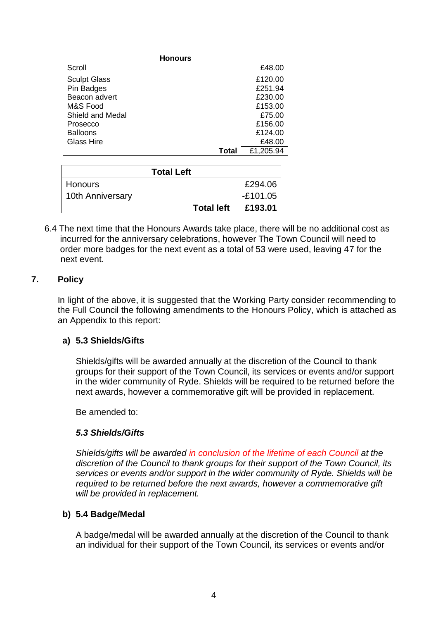| <b>Honours</b>      |       |           |  |
|---------------------|-------|-----------|--|
| Scroll              |       | £48.00    |  |
| <b>Sculpt Glass</b> |       | £120.00   |  |
| Pin Badges          |       | £251.94   |  |
| Beacon advert       |       | £230.00   |  |
| M&S Food            |       | £153.00   |  |
| Shield and Medal    |       | £75.00    |  |
| Prosecco            |       | £156.00   |  |
| <b>Balloons</b>     |       | £124.00   |  |
| <b>Glass Hire</b>   |       | £48.00    |  |
|                     | Total | £1,205.94 |  |

| <b>Total Left</b> |                   |            |  |
|-------------------|-------------------|------------|--|
| <b>Honours</b>    |                   | £294.06    |  |
| 10th Anniversary  |                   | $-£101.05$ |  |
|                   | <b>Total left</b> | £193.01    |  |
|                   |                   |            |  |

6.4 The next time that the Honours Awards take place, there will be no additional cost as incurred for the anniversary celebrations, however The Town Council will need to order more badges for the next event as a total of 53 were used, leaving 47 for the next event.

# **7. Policy**

In light of the above, it is suggested that the Working Party consider recommending to the Full Council the following amendments to the Honours Policy, which is attached as an Appendix to this report:

# **a) 5.3 Shields/Gifts**

Shields/gifts will be awarded annually at the discretion of the Council to thank groups for their support of the Town Council, its services or events and/or support in the wider community of Ryde. Shields will be required to be returned before the next awards, however a commemorative gift will be provided in replacement.

Be amended to:

# *5.3 Shields/Gifts*

*Shields/gifts will be awarded in conclusion of the lifetime of each Council at the discretion of the Council to thank groups for their support of the Town Council, its services or events and/or support in the wider community of Ryde. Shields will be required to be returned before the next awards, however a commemorative gift will be provided in replacement.* 

# **b) 5.4 Badge/Medal**

A badge/medal will be awarded annually at the discretion of the Council to thank an individual for their support of the Town Council, its services or events and/or